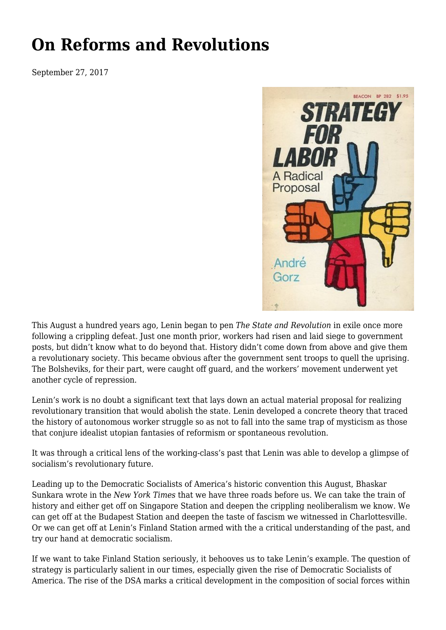## **[On Reforms and Revolutions](https://newpol.org/reforms-and-revolutions/)**

September 27, 2017



This August a hundred years ago, Lenin began to pen *The State and Revolution* in exile once more following a crippling defeat. Just one month [prior](https://www.viewpointmag.com/2012/04/09/the-actuality-of-the-revolution-reflections-on-lenins-state-and-revolution/), workers had risen and laid siege to government posts, but didn't know what to do beyond that. History didn't come down from above and give them a revolutionary society. This became obvious after the government sent troops to quell the uprising. The Bolsheviks, for their part, were caught off guard, and the workers' movement underwent yet another cycle of repression.

Lenin's work is no doubt a significant text that lays down an actual material proposal for realizing revolutionary transition that would abolish the state. Lenin developed a concrete theory that traced the history of autonomous worker struggle so as not to fall into the same trap of mysticism as those that conjure idealist utopian fantasies of reformism or spontaneous revolution.

It was through a critical lens of the working-class's past that Lenin was able to develop a glimpse of socialism's revolutionary future.

Leading up to the Democratic Socialists of America's historic convention this August, Bhaskar Sunkara [wrote](https://www.nytimes.com/2017/06/26/opinion/finland-station-communism-socialism.html) in the *New York Times* that we have three roads before us. We can take the train of history and either get off on Singapore Station and deepen the crippling neoliberalism we know. We can get off at the Budapest Station and deepen the taste of fascism we witnessed in Charlottesville. Or we can get off at Lenin's Finland Station armed with the a critical understanding of the past, and try our hand at democratic socialism.

If we want to take Finland Station seriously, it behooves us to take Lenin's example. The question of strategy is particularly salient in our times, especially given the rise of Democratic Socialists of America. The rise of the DSA marks a critical development in the composition of social forces within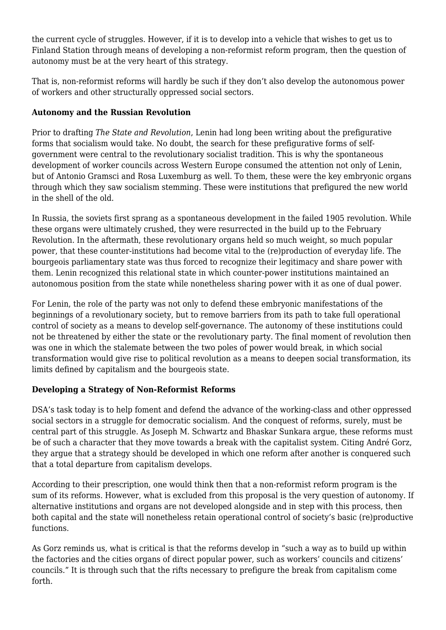the current cycle of struggles. However, if it is to develop into a vehicle that wishes to get us to Finland Station through means of developing a non-reformist reform program, then the question of autonomy must be at the very heart of this strategy.

That is, non-reformist reforms will hardly be such if they don't also develop the autonomous power of workers and other structurally oppressed social sectors.

## **Autonomy and the Russian Revolution**

Prior to drafting *The State and Revolution*, Lenin had long been writing about the prefigurative forms that socialism would take. No doubt, the search for these prefigurative forms of selfgovernment were central to the revolutionary socialist tradition. This is why the spontaneous development of worker councils across Western Europe consumed the attention not only of Lenin, but of Antonio Gramsci and Rosa Luxemburg as well. To them, these were the key embryonic organs through which they saw socialism stemming. These were institutions that prefigured the new world in the shell of the old.

In Russia, the soviets first sprang as a spontaneous development in the failed 1905 revolution. While these organs were ultimately crushed, they were resurrected in the build up to the February Revolution. In the aftermath, these revolutionary organs held so much weight, so much popular power, that these counter-institutions had become vital to the (re)production of everyday life. The bourgeois parliamentary state was thus forced to recognize their legitimacy and share power with them. Lenin recognized this relational state in which counter-power institutions maintained an autonomous position from the state while nonetheless sharing power with it as one of [dual power](https://www.marxists.org/archive/lenin/works/1917/apr/09.htm).

For Lenin, the role of the party was not only to defend these embryonic manifestations of the beginnings of a revolutionary society, but to remove barriers from its path to take full operational control of society as a means to develop self-governance. The autonomy of these institutions could not be threatened by either the state or the revolutionary party. The final moment of revolution then was one in which the stalemate between the two poles of power would break, in which social transformation would give rise to political revolution as a means to deepen social transformation, its limits defined by capitalism and the bourgeois state.

## **Developing a Strategy of Non-Reformist Reforms**

DSA's task today is to help foment and defend the advance of the working-class and other oppressed social sectors in a struggle for democratic socialism. And the conquest of reforms, surely, must be central part of this struggle. As Joseph M. Schwartz and Bhaskar Sunkara [argue](https://jacobinmag.com/2017/08/socialist-left-democratic-socialists-america-dsa), these reforms must be of such a character that they move towards a break with the capitalist system. Citing André Gorz, they argue that a strategy should be developed in which one reform after another is conquered such that a total departure from capitalism develops.

According to their prescription, one would think then that a non-reformist reform program is the sum of its reforms. However, what is excluded from this proposal is the very question of autonomy. If alternative institutions and organs are not developed alongside and in step with this process, then both capital and the state will nonetheless retain operational control of society's basic (re)productive functions.

As Gorz reminds us, what is critical is that the reforms develop in "such a way as to build up within the factories and the cities organs of direct popular power, such as workers' councils and citizens' councils." It is through such that the rifts necessary to prefigure the break from capitalism come forth.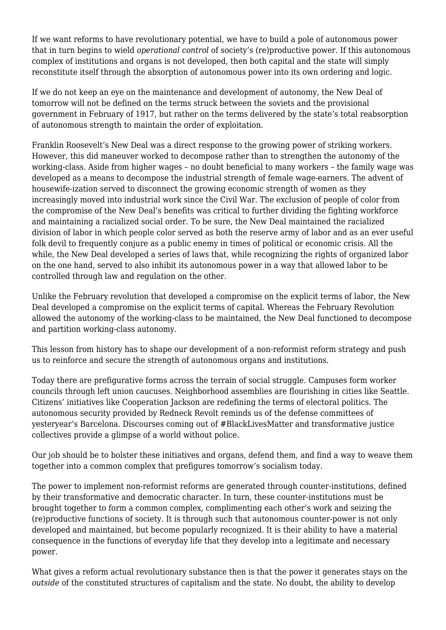If we want reforms to have revolutionary potential, we have to build a pole of autonomous power that in turn begins to wield *operational control* of society's (re)productive power. If this autonomous complex of institutions and organs is not developed, then both capital and the state will simply reconstitute itself through the absorption of autonomous power into its own ordering and logic.

If we do not keep an eye on the maintenance and development of autonomy, the New Deal of tomorrow will not be defined on the terms struck between the soviets and the provisional government in February of 1917, but rather on the terms delivered by the state's total reabsorption of autonomous strength to maintain the order of exploitation.

Franklin Roosevelt's [New Deal](https://www.viewpointmag.com/2014/10/02/the-new-deal-and-the-new-order-of-capitalist-institutions-1972/) was a direct response to the growing power of striking workers. However, this did maneuver worked to decompose rather than to strengthen the autonomy of the working-class. Aside from higher wages – no doubt beneficial to many workers – the family wage was developed as a means to decompose the industrial strength of female wage-earners. The advent of housewife-ization served to disconnect the growing economic strength of women as they increasingly moved into industrial work since the Civil War. The exclusion of people of color from the compromise of the New Deal's benefits was critical to further dividing the fighting workforce and maintaining a racialized social order. To be sure, the New Deal maintained the racialized division of labor in which people color served as both the reserve army of labor and as an ever useful folk devil to frequently conjure as a public enemy in times of political or economic crisis. All the while, the New Deal developed a series of laws that, while recognizing the rights of organized labor on the one hand, served to also inhibit its autonomous power in a way that allowed labor to be controlled through law and regulation on the other.

Unlike the February revolution that developed a compromise on the explicit terms of labor, the New Deal developed a compromise on the explicit terms of capital. Whereas the February Revolution allowed the autonomy of the working-class to be maintained, the New Deal functioned to decompose and partition working-class autonomy.

This lesson from history has to shape our development of a non-reformist reform strategy and push us to reinforce and secure the strength of autonomous organs and institutions.

Today there are prefigurative forms across the terrain of social struggle. Campuses form worker councils through left union caucuses. Neighborhood assemblies are flourishing in cities like Seattle. Citizens' initiatives like Cooperation Jackson are redefining the terms of electoral politics. The autonomous security provided by Redneck Revolt reminds us of the defense committees of yesteryear's Barcelona. Discourses coming out of #BlackLivesMatter and transformative justice collectives provide a glimpse of a world without police.

Our job should be to bolster these initiatives and organs, defend them, and find a way to weave them together into a common complex that prefigures tomorrow's socialism today.

The power to implement non-reformist reforms are generated through counter-institutions, defined by their transformative and democratic character. In turn, these counter-institutions must be brought together to form a common complex, complimenting each other's work and seizing the (re)productive functions of society. It is through such that autonomous counter-power is not only developed and maintained, but become popularly recognized. It is their ability to have a material consequence in the functions of everyday life that they develop into a legitimate and necessary power.

What gives a reform actual revolutionary substance then is that the power it generates stays on the *outside* of the constituted structures of capitalism and the state. No doubt, the ability to develop